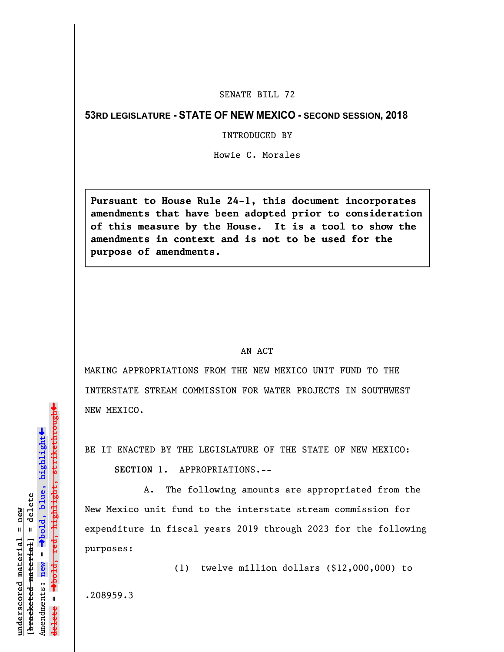## SENATE BILL 72

## **53RD LEGISLATURE - STATE OF NEW MEXICO - SECOND SESSION, 2018**

## INTRODUCED BY

Howie C. Morales

**Pursuant to House Rule 24-1, this document incorporates amendments that have been adopted prior to consideration of this measure by the House. It is a tool to show the amendments in context and is not to be used for the purpose of amendments.** 

## AN ACT

MAKING APPROPRIATIONS FROM THE NEW MEXICO UNIT FUND TO THE INTERSTATE STREAM COMMISSION FOR WATER PROJECTS IN SOUTHWEST NEW MEXICO.

BE IT ENACTED BY THE LEGISLATURE OF THE STATE OF NEW MEXICO:

**SECTION 1.** APPROPRIATIONS.--

A. The following amounts are appropriated from the New Mexico unit fund to the interstate stream commission for expenditure in fiscal years 2019 through 2023 for the following purposes:

(1) twelve million dollars (\$12,000,000) to

.208959.3

»highlight, strikethrough º**bold, red, highlight, strikethrough**  $\ddot{\bullet}$ º**bold, blue, highlight**  $b$ racketed material] = delete **[bracketed material] = delete** inderscored material = new **underscored material = new** Amendments: new = Amendments: **new** =  $\mathbf{I}$ **delete =** lelete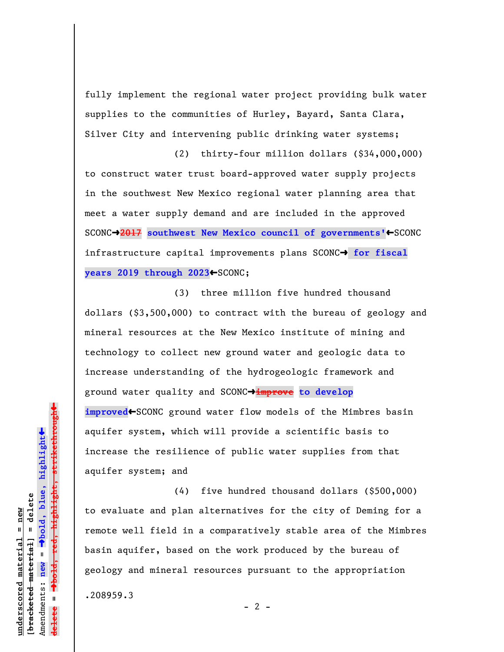fully implement the regional water project providing bulk water supplies to the communities of Hurley, Bayard, Santa Clara, Silver City and intervening public drinking water systems;

(2) thirty-four million dollars (\$34,000,000) to construct water trust board-approved water supply projects in the southwest New Mexico regional water planning area that meet a water supply demand and are included in the approved SCONC→2017 southwest New Mexico council of governments'←SCONC infrastructure capital improvements plans SCONC<sup>+</sup> for fiscal years 2019 through 2023<sup>+SCONC;</sup>

(3) three million five hundred thousand dollars (\$3,500,000) to contract with the bureau of geology and mineral resources at the New Mexico institute of mining and technology to collect new ground water and geologic data to increase understanding of the hydrogeologic framework and ground water quality and SCONCº**improve to develop** improved<SCONC ground water flow models of the Mimbres basin aquifer system, which will provide a scientific basis to increase the resilience of public water supplies from that aquifer system; and

(4) five hundred thousand dollars (\$500,000) to evaluate and plan alternatives for the city of Deming for a remote well field in a comparatively stable area of the Mimbres basin aquifer, based on the work produced by the bureau of geology and mineral resources pursuant to the appropriation .208959.3

 $- 2 -$